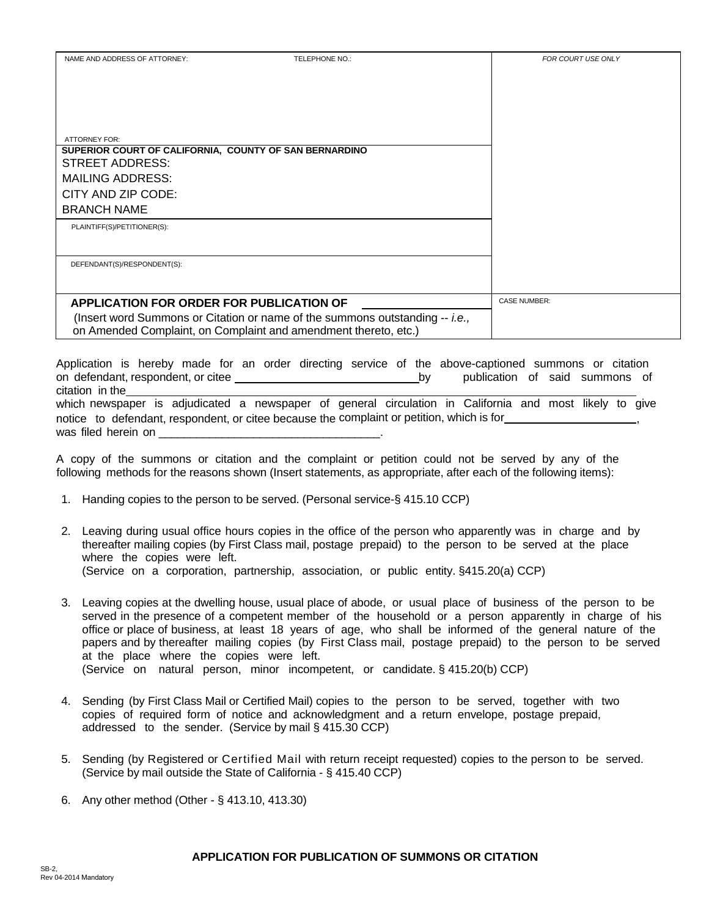| NAME AND ADDRESS OF ATTORNEY:                                                                                                                                                                      | TELEPHONE NO.: | <b>FOR COURT USE ONLY</b> |
|----------------------------------------------------------------------------------------------------------------------------------------------------------------------------------------------------|----------------|---------------------------|
| <b>ATTORNEY FOR:</b><br>SUPERIOR COURT OF CALIFORNIA, COUNTY OF SAN BERNARDINO<br>STREET ADDRESS:<br><b>MAILING ADDRESS:</b><br>CITY AND ZIP CODE:                                                 |                |                           |
| <b>BRANCH NAME</b><br>PLAINTIFF(S)/PETITIONER(S):                                                                                                                                                  |                |                           |
| DEFENDANT(S)/RESPONDENT(S):                                                                                                                                                                        |                |                           |
| <b>APPLICATION FOR ORDER FOR PUBLICATION OF</b><br>(Insert word Summons or Citation or name of the summons outstanding -- i.e.,<br>on Amended Complaint, on Complaint and amendment thereto, etc.) |                | <b>CASE NUMBER:</b>       |

Application is hereby made for an order directing service of the above-captioned summons or citation on defendant, respondent, or citee by publication of said summons of citation in the

which newspaper is adjudicated a newspaper of general circulation in California and most likely to give notice to defendant, respondent, or citee because the complaint or petition, which is for , was filed herein on

A copy of the summons or citation and the complaint or petition could not be served by any of the following methods for the reasons shown (Insert statements, as appropriate, after each of the following items):

- 1. Handing copies to the person to be served. (Personal service-§ 415.10 CCP)
- 2. Leaving during usual office hours copies in the office of the person who apparently was in charge and by thereafter mailing copies (by First Class mail, postage prepaid) to the person to be served at the place where the copies were left. (Service on a corporation, partnership, association, or public entity. §415.20(a) CCP)
- 3. Leaving copies at the dwelling house, usual place of abode, or usual place of business of the person to be served in the presence of a competent member of the household or a person apparently in charge of his office or place of business, at least 18 years of age, who shall be informed of the general nature of the papers and by thereafter mailing copies (by First Class mail, postage prepaid) to the person to be served at the place where the copies were left. (Service on natural person, minor incompetent, or candidate. § 415.20(b) CCP)

- 4. Sending (by First Class Mail or Certified Mail) copies to the person to be served, together with two copies of required form of notice and acknowledgment and a return envelope, postage prepaid, addressed to the sender. (Service by mail § 415.30 CCP)
- 5. Sending (by Registered or Certified Mail with return receipt requested) copies to the person to be served. (Service by mail outside the State of California - § 415.40 CCP)
- 6. Any other method (Other § 413.10, 413.30)